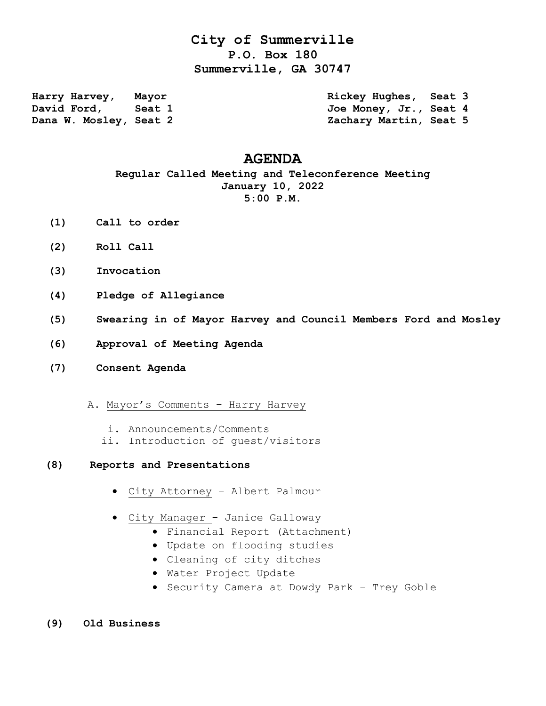## **City of Summerville P.O. Box 180 Summerville, GA 30747**

**Harry Harvey, Mayor Rickey Hughes, Seat 3** David Ford, Seat 1 300 Joe Money, Jr., Seat 4 **Dana W. Mosley, Seat 2 Zachary Martin, Seat 5** 

## **AGENDA**

## **Regular Called Meeting and Teleconference Meeting January 10, 2022 5:00 P.M.**

- **(1) Call to order**
- **(2) Roll Call**
- **(3) Invocation**
- **(4) Pledge of Allegiance**
- **(5) Swearing in of Mayor Harvey and Council Members Ford and Mosley**
- **(6) Approval of Meeting Agenda**
- **(7) Consent Agenda**
	- A. Mayor's Comments Harry Harvey
		- i. Announcements/Comments
		- ii. Introduction of guest/visitors
- **(8) Reports and Presentations**
	- City Attorney Albert Palmour
	- City Manager Janice Galloway
		- Financial Report (Attachment)
		- Update on flooding studies
		- Cleaning of city ditches
		- Water Project Update
		- Security Camera at Dowdy Park Trey Goble
- **(9) Old Business**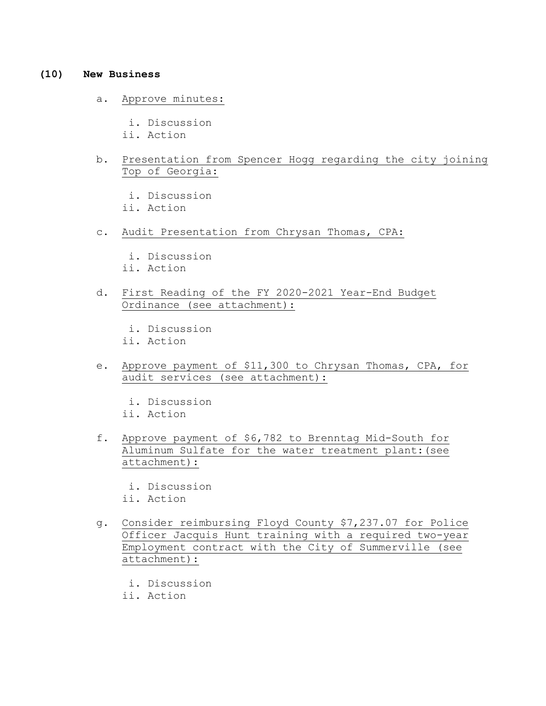## **(10) New Business**

- a. Approve minutes:
	- i. Discussion
	- ii. Action
- b. Presentation from Spencer Hogg regarding the city joining Top of Georgia:

 i. Discussion ii. Action

- c. Audit Presentation from Chrysan Thomas, CPA:
	- i. Discussion ii. Action
- d. First Reading of the FY 2020-2021 Year-End Budget Ordinance (see attachment):

 i. Discussion ii. Action

 e. Approve payment of \$11,300 to Chrysan Thomas, CPA, for audit services (see attachment):

 i. Discussion ii. Action

- f. Approve payment of \$6,782 to Brenntag Mid-South for Aluminum Sulfate for the water treatment plant:(see attachment):
	- i. Discussion
	- ii. Action
- g. Consider reimbursing Floyd County \$7,237.07 for Police Officer Jacquis Hunt training with a required two-year Employment contract with the City of Summerville (see attachment):
	- i. Discussion
	- ii. Action